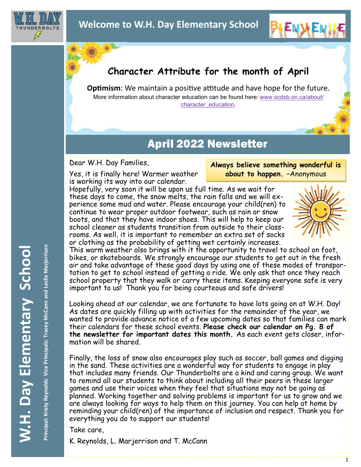

## **Character Attribute for the month of April**

**Optimism**: We maintain a positive attitude and have hope for the future. More information about character education can be found here: [www.scdsb.on.ca/about/](http://www.scdsb.on.ca/about/character_education) [character\\_education.](http://www.scdsb.on.ca/about/character_education)

## April 2022 Newsletter

Dear W.H. Day Families,

Yes, it is finally here! Warmer weather is working its way into our calendar.

**Always believe something wonderful is about to happen.** –Anonymous

**BIENWEN!** 

Hopefully, very soon it will be upon us full time. As we wait for these days to come, the snow melts, the rain falls and we will experience some mud and water. Please encourage your child(ren) to continue to wear proper outdoor footwear, such as rain or snow boots, and that they have indoor shoes. This will help to keep our school cleaner as students transition from outside to their classrooms. As well, it is important to remember an extra set of socks or clothing as the probability of getting wet certainly increases.



52000

This warm weather also brings with it the opportunity to travel to school on foot, bikes, or skateboards. We strongly encourage our students to get out in the fresh air and take advantage of these good days by using one of these modes of transportation to get to school instead of getting a ride. We only ask that once they reach school property that they walk or carry these items. Keeping everyone safe is very important to us! Thank you for being courteous and safe drivers!

Looking ahead at our calendar, we are fortunate to have lots going on at W.H. Day! As dates are quickly filling up with activities for the remainder of the year, we wanted to provide advance notice of a few upcoming dates so that families can mark their calendars for these school events. **Please check our calendar on Pg. 8 of the newsletter for important dates this month.** As each event gets closer, information will be shared.

Finally, the loss of snow also encourages play such as soccer, ball games and digging in the sand. These activities are a wonderful way for students to engage in play that includes many friends. Our Thunderbolts are a kind and caring group. We want to remind all our students to think about including all their peers in these larger games and use their voices when they feel that situations may not be going as planned. Working together and solving problems is important for us to grow and we are always looking for ways to help them on this journey. You can help at home by reminding your child(ren) of the importance of inclusion and respect. Thank you for everything you do to support our students!

Take care,

K. Reynolds, L. Marjerrison and T. McCann

Principal: Kristy Reynolds Vice Principals: Tracey McCann and Leslie Marjerrison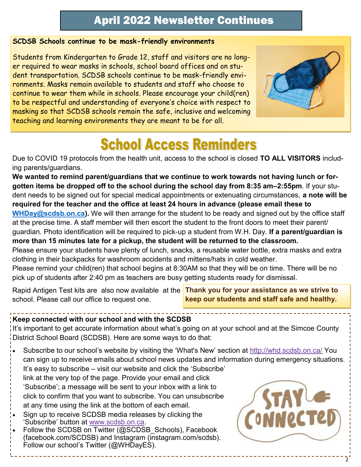#### **SCDSB Schools continue to be mask-friendly environments**

Students from Kindergarten to Grade 12, staff and visitors are no longer required to wear masks in schools, school board offices and on student transportation. SCDSB schools continue to be mask-friendly environments. Masks remain available to students and staff who choose to continue to wear them while in schools. Please encourage your child(ren) to be respectful and understanding of everyone's choice with respect to masking so that SCDSB schools remain the safe, inclusive and welcoming teaching and learning environments they are meant to be for all.



# **School Access Reminders**

Due to COVID 19 protocols from the health unit, access to the school is closed **TO ALL VISITORS** including parents/guardians.

**We wanted to remind parent/guardians that we continue to work towards not having lunch or forgotten items be dropped off to the school during the school day from 8:35 am–2:55pm**. If your student needs to be signed out for special medical appointments or extenuating circumstances, **a note will be required for the teacher and the office at least 24 hours in advance (please email these to [WHDay@scdsb.on.ca\)](mailto:WHDay@scdsb.on.ca).** We will then arrange for the student to be ready and signed out by the office staff at the precise time. A staff member will then escort the student to the front doors to meet their parent/ guardian. Photo identification will be required to pick-up a student from W.H. Day. **If a parent/guardian is more than 15 minutes late for a pickup, the student will be returned to the classroom.** Please ensure your students have plenty of lunch, snacks, a reusable water bottle, extra masks and extra clothing in their backpacks for washroom accidents and mittens/hats in cold weather.

Please remind your child(ren) that school begins at 8:30AM so that they will be on time. There will be no pick up of students after 2:40 pm as teachers are busy getting students ready for dismissal.

Rapid Antigen Test kits are also now available at the **Thank you for your assistance as we strive to**  school. Please call our office to request one.

**keep our students and staff safe and healthy.**

#### **Keep connected with our school and with the SCDSB**

It's important to get accurate information about what's going on at your school and at the Simcoe County District School Board (SCDSB). Here are some ways to do that:

- Subscribe to our school's website by visiting the 'What's New' section at<http://whd.scdsb.on.ca/> You can sign up to receive emails about school news updates and information during emergency situations. It's easy to subscribe – visit our website and click the 'Subscribe'
- link at the very top of the page. Provide your email and click 'Subscribe'; a message will be sent to your inbox with a link to click to confirm that you want to subscribe. You can unsubscribe at any time using the link at the bottom of each email.
- Sign up to receive SCDSB media releases by clicking the 'Subscribe' button at [www.scdsb.on.ca.](http://www.scdsb.on.ca)
- Follow the SCDSB on Twitter (@SCDSB\_Schools), Facebook (facebook.com/SCDSB) and Instagram (instagram.com/scdsb). Follow our school's Twitter (@WHDayES).

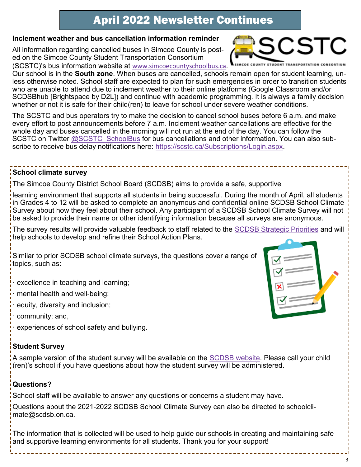#### **Inclement weather and bus cancellation information reminder**

All information regarding cancelled buses in Simcoe County is posted on the Simcoe County Student Transportation Consortium (SCSTC)'s bus information website at [www.simcoecountyschoolbus.ca.](http://www.simcoecountyschoolbus.ca) 

Our school is in the **South zone**. When buses are cancelled, schools remain open for student learning, unless otherwise noted. School staff are expected to plan for such emergencies in order to transition students who are unable to attend due to inclement weather to their online platforms (Google Classroom and/or SCDSBhub [Brightspace by D2L]) and continue with academic programming. It is always a family decision whether or not it is safe for their child(ren) to leave for school under severe weather conditions.

The SCSTC and bus operators try to make the decision to cancel school buses before 6 a.m. and make every effort to post announcements before 7 a.m. Inclement weather cancellations are effective for the whole day and buses cancelled in the morning will not run at the end of the day. You can follow the SCSTC on Twitter [@SCSTC\\_SchoolBus](https://twitter.com/SCSTC_SchoolBus?ref_src=twsrc%5Egoogle%7Ctwcamp%5Eserp%7Ctwgr%5Eauthor) for bus cancellations and other information. You can also subscribe to receive bus delay notifications here: [https://scstc.ca/Subscriptions/Login.aspx.](https://scstc.ca/Subscriptions/Login.aspx)

#### **School climate survey**

The Simcoe County District School Board (SCDSB) aims to provide a safe, supportive

learning environment that supports all students in being successful. During the month of April, all students in Grades 4 to 12 will be asked to complete an anonymous and confidential online SCDSB School Climate Survey about how they feel about their school. Any participant of a SCDSB School Climate Survey will not be asked to provide their name or other identifying information because all surveys are anonymous.

The survey results will provide valuable feedback to staff related to the [SCDSB Strategic Priorities](https://www.scdsb.on.ca/about/goals_reporting/strategic_priorities) and will help schools to develop and refine their School Action Plans.

Similar to prior SCDSB school climate surveys, the questions cover a range of topics, such as:

- · excellence in teaching and learning;
- · mental health and well-being;
- · equity, diversity and inclusion;
- · community; and,
- · experiences of school safety and bullying.

#### **Student Survey**

A sample version of the student survey will be available on the [SCDSB website.](http://www.scdsb.on.ca/) Please call your child (ren)'s school if you have questions about how the student survey will be administered.

#### **Questions?**

School staff will be available to answer any questions or concerns a student may have.

Questions about the 2021-2022 SCDSB School Climate Survey can also be directed to schoolclimate@scdsb.on.ca.

The information that is collected will be used to help guide our schools in creating and maintaining safe and supportive learning environments for all students. Thank you for your support!





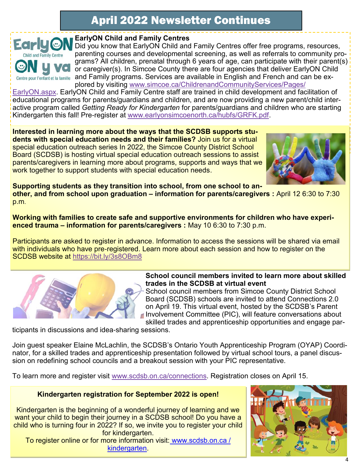

#### **EarlyON Child and Family Centres**

Did you know that EarlyON Child and Family Centres offer free programs, resources, parenting courses and developmental screening, as well as referrals to community programs? All children, prenatal through 6 years of age, can participate with their parent(s) or caregiver(s). In Simcoe County there are four agencies that deliver EarlyON Child and Family programs. Services are available in English and French and can be explored by visiting [www.simcoe.ca/ChildrenandCommunityServices/Pages/](https://can01.safelinks.protection.outlook.com/?url=https%3A%2F%2Fwww.simcoe.ca%2FChildrenandCommunityServices%2FPages%2FEarlyON.aspx&data=04%7C01%7Cafarrell%40scdsb.on.ca%7C98cf9ce9ef964dc1666e08d9d763dc41%7C573d7e64d5434fd8b3da0c64adc4eb35%7C1%7C0%7C6377776)

[EarlyON.aspx.](https://can01.safelinks.protection.outlook.com/?url=https%3A%2F%2Fwww.simcoe.ca%2FChildrenandCommunityServices%2FPages%2FEarlyON.aspx&data=04%7C01%7Cafarrell%40scdsb.on.ca%7C98cf9ce9ef964dc1666e08d9d763dc41%7C573d7e64d5434fd8b3da0c64adc4eb35%7C1%7C0%7C6377776) EarlyON Child and Family Centre staff are trained in child development and facilitation of educational programs for parents/guardians and children, and are now providing a new parent/child interactive program called *Getting Ready for Kindergarten* for parents/guardians and children who are starting Kindergarten this fall! Pre-register at [www.earlyonsimcoenorth.ca/hubfs/GRFK.pdf.](http://www.earlyonsimcoenorth.ca/hubfs/GRFK.pdf)

**Interested in learning more about the ways that the SCDSB supports students with special education needs and their families?** Join us for a virtual special education outreach series In 2022, the Simcoe County District School Board (SCDSB) is hosting virtual special education outreach sessions to assist parents/caregivers in learning more about programs, supports and ways that we work together to support students with special education needs.



**Supporting students as they transition into school, from one school to another, and from school upon graduation – information for parents/caregivers :** April 12 6:30 to 7:30 p.m.

**Working with families to create safe and supportive environments for children who have experienced trauma – information for parents/caregivers :** May 10 6:30 to 7:30 p.m.

Participants are asked to register in advance. Information to access the sessions will be shared via email with individuals who have pre-registered. Learn more about each session and how to register on the SCDSB website at <https://bit.ly/3s8OBm8>



#### **School council members invited to learn more about skilled trades in the SCDSB at virtual event**

School council members from Simcoe County District School Board (SCDSB) schools are invited to attend Connections 2.0 on April 19. This virtual event, hosted by the SCDSB's Parent Involvement Committee (PIC), will feature conversations about skilled trades and apprenticeship opportunities and engage par-

ticipants in discussions and idea-sharing sessions.

Join guest speaker Elaine McLachlin, the SCDSB's Ontario Youth Apprenticeship Program (OYAP) Coordinator, for a skilled trades and apprenticeship presentation followed by virtual school tours, a panel discussion on redefining school councils and a breakout session with your PIC representative.

To learn more and register visit [www.scdsb.on.ca/connections.](http://www.scdsb.on.ca/connections) Registration closes on April 15.

#### **Kindergarten registration for September 2022 is open!**

Kindergarten is the beginning of a wonderful journey of learning and we want your child to begin their journey in a SCDSB school! Do you have a child who is turning four in 2022? If so, we invite you to register your child for kindergarten.

To register online or for more information visit: www.scdsb.on.ca / kindergarten.

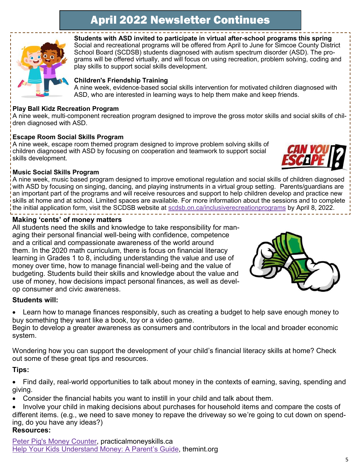

**Students with ASD invited to participate in virtual after-school programs this spring** Social and recreational programs will be offered from April to June for Simcoe County District School Board (SCDSB) students diagnosed with autism spectrum disorder (ASD). The programs will be offered virtually, and will focus on using recreation, problem solving, coding and play skills to support social skills development.

#### **Children's Friendship Training**

A nine week, evidence-based social skills intervention for motivated children diagnosed with ASD, who are interested in learning ways to help them make and keep friends.

#### **Play Ball Kidz Recreation Program**

A nine week, multi-component recreation program designed to improve the gross motor skills and social skills of children diagnosed with ASD.

#### **Escape Room Social Skills Program**

A nine week, escape room themed program designed to improve problem solving skills of children diagnosed with ASD by focusing on cooperation and teamwork to support social skills development.



#### **Music Social Skills Program**

A nine week, music based program designed to improve emotional regulation and social skills of children diagnosed with ASD by focusing on singing, dancing, and playing instruments in a virtual group setting. Parents/guardians are an important part of the programs and will receive resources and support to help children develop and practice new skills at home and at school. Limited spaces are available. For more information about the sessions and to complete the initial application form, visit the SCDSB website at [scdsb.on.ca/inclusiverecreationprograms](http://www.scdsb.on.ca/inclusiverecreationprograms) by April 8, 2022.

#### **Making 'cents' of money matters**

All students need the skills and knowledge to take responsibility for managing their personal financial well-being with confidence, competence and a critical and compassionate awareness of the world around them. In the 2020 math curriculum, there is focus on financial literacy learning in Grades 1 to 8, including understanding the value and use of money over time, how to manage financial well-being and the value of budgeting. Students build their skills and knowledge about the value and use of money, how decisions impact personal finances, as well as develop consumer and civic awareness.



#### **Students will:**

• Learn how to manage finances responsibly, such as creating a budget to help save enough money to buy something they want like a book, toy or a video game.

Begin to develop a greater awareness as consumers and contributors in the local and broader economic system.

Wondering how you can support the development of your child's financial literacy skills at home? Check out some of these great tips and resources.

#### **Tips:**

- Find daily, real-world opportunities to talk about money in the contexts of earning, saving, spending and giving.
- Consider the financial habits you want to instill in your child and talk about them.
- Involve your child in making decisions about purchases for household items and compare the costs of different items. (e.g., we need to save money to repave the driveway so we're going to cut down on spending, do you have any ideas?)

#### **Resources:**

[Peter Pig's Money Counter,](https://can01.safelinks.protection.outlook.com/?url=https%3A%2F%2Fpracticalmoneyskills.ca%2Fgames%2Fpeterpigs%2F&data=04%7C01%7Cafarrell%40scdsb.on.ca%7C7f39c1a83c8e4553930908da0b465686%7C573d7e64d5434fd8b3da0c64adc4eb35%7C1%7C0%7C637834693960543087%7CUnknown) practicalmoneyskills.ca [Help Your Kids Understand Money: A Parent's Guide,](https://can01.safelinks.protection.outlook.com/?url=http%3A%2F%2Fwww.themint.org%2Fparents%2Fparenting-guide.html&data=04%7C01%7Cafarrell%40scdsb.on.ca%7C7f39c1a83c8e4553930908da0b465686%7C573d7e64d5434fd8b3da0c64adc4eb35%7C1%7C0%7C637834693960543087%7CUnknow) themint.org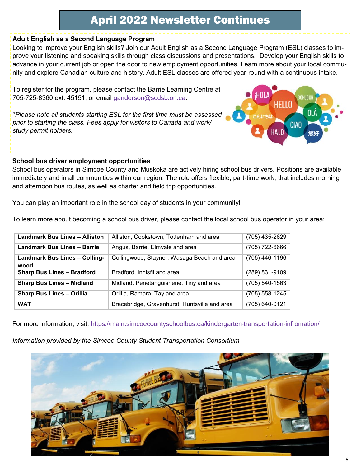#### **Adult English as a Second Language Program**

Looking to improve your English skills? Join our Adult English as a Second Language Program (ESL) classes to improve your listening and speaking skills through class discussions and presentations. Develop your English skills to advance in your current job or open the door to new employment opportunities. Learn more about your local community and explore Canadian culture and history. Adult ESL classes are offered year-round with a continuous intake.

To register for the program, please contact the Barrie Learning Centre at 705-725-8360 ext. 45151, or email [ganderson@scdsb.on.ca.](mailto:ganderson@scdsb.on.ca)

*\*Please note all students starting ESL for the first time must be assessed prior to starting the class. Fees apply for visitors to Canada and work/ study permit holders.*

#### **School bus driver employment opportunities**

School bus operators in Simcoe County and Muskoka are actively hiring school bus drivers. Positions are available immediately and in all communities within our region. The role offers flexible, part-time work, that includes morning and afternoon bus routes, as well as charter and field trip opportunities.

You can play an important role in the school day of students in your community!

To learn more about becoming a school bus driver, please contact the local school bus operator in your area:

| <b>Landmark Bus Lines - Alliston</b>         | Alliston, Cookstown, Tottenham and area       | (705) 435-2629     |
|----------------------------------------------|-----------------------------------------------|--------------------|
| <b>Landmark Bus Lines - Barrie</b>           | Angus, Barrie, Elmvale and area               | (705) 722-6666     |
| <b>Landmark Bus Lines - Colling-</b><br>wood | Collingwood, Stayner, Wasaga Beach and area   | (705) 446-1196     |
| <b>Sharp Bus Lines - Bradford</b>            | Bradford, Innisfil and area                   | $(289) 831 - 9109$ |
| <b>Sharp Bus Lines - Midland</b>             | Midland, Penetanguishene, Tiny and area       | $(705)$ 540-1563   |
| <b>Sharp Bus Lines - Orillia</b>             | Orillia, Ramara, Tay and area                 | $(705)$ 558-1245   |
| <b>WAT</b>                                   | Bracebridge, Gravenhurst, Huntsville and area | $(705) 640 - 0121$ |

For more information, visit:<https://main.simcoecountyschoolbus.ca/kindergarten-transportation-infromation/>

#### *Information provided by the Simcoe County Student Transportation Consortium*



**CIAO**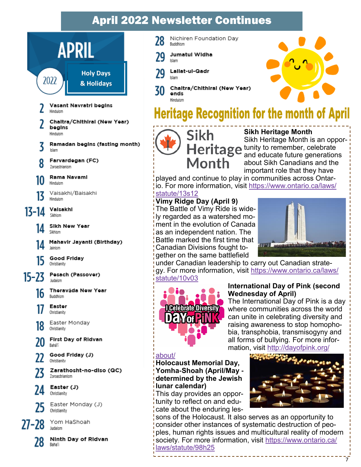

Baha'i

Nichiren Foundation Day 28 Buddhism

- **Jumatul Widha** 79 klam
	- Lallat-ul-Qadr klam

Chaltra/Chithiral (New Year) 30 ends Hinduism

## **Heritage Recognition for the month of April**



**Sikh Heritage Month** Sikh Heritage Month is an oppor-Heritage tunity to remember, celebrate and educate future generations about Sikh Canadians and the important role that they have

played and continue to play in communities across Ontario. For more information, visit [https://www.ontario.ca/laws/](https://www.ontario.ca/laws/statute/13s12) [statute/13s12](https://www.ontario.ca/laws/statute/13s12)

#### **Vimy Ridge Day (April 9)**

The Battle of Vimy Ride is widely regarded as a watershed moment in the evolution of Canada as an independent nation. The Battle marked the first time that Canadian Divisions fought together on the same battlefield



under Canadian leadership to carry out Canadian strategy. For more information, visit [https://www.ontario.ca/laws/](https://www.ontario.ca/laws/statute/10v03) [statute/10v03](https://www.ontario.ca/laws/statute/10v03)



#### **International Day of Pink (second Wednesday of April)**

The International Day of Pink is a day where communities across the world can unite in celebrating diversity and raising awareness to stop homophobia, transphobia, transmisogyny and all forms of bullying. For more information, visit [http://dayofpink.org/](http://dayofpink.org/about/)

#### [about/](http://dayofpink.org/about/)

**Holocaust Memorial Day, Yomha-Shoah (April/May determined by the Jewish lunar calendar)**

This day provides an opportunity to reflect on and educate about the enduring les-



sons of the Holocaust. It also serves as an opportunity to consider other instances of systematic destruction of peoples, human rights issues and multicultural reality of modern society. For more information, visit [https://www.ontario.ca/](https://www.ontario.ca/laws/statute/98h25) [laws/statute/98h25](https://www.ontario.ca/laws/statute/98h25)